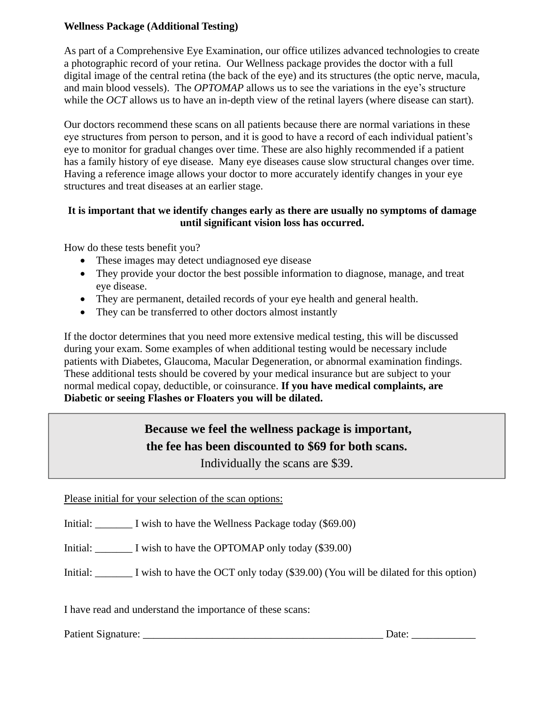## **Wellness Package (Additional Testing)**

As part of a Comprehensive Eye Examination, our office utilizes advanced technologies to create a photographic record of your retina. Our Wellness package provides the doctor with a full digital image of the central retina (the back of the eye) and its structures (the optic nerve, macula, and main blood vessels). The *OPTOMAP* allows us to see the variations in the eye's structure while the *OCT* allows us to have an in-depth view of the retinal layers (where disease can start).

Our doctors recommend these scans on all patients because there are normal variations in these eye structures from person to person, and it is good to have a record of each individual patient's eye to monitor for gradual changes over time. These are also highly recommended if a patient has a family history of eye disease. Many eye diseases cause slow structural changes over time. Having a reference image allows your doctor to more accurately identify changes in your eye structures and treat diseases at an earlier stage.

## **It is important that we identify changes early as there are usually no symptoms of damage until significant vision loss has occurred.**

How do these tests benefit you?

- These images may detect undiagnosed eye disease
- They provide your doctor the best possible information to diagnose, manage, and treat eye disease.
- They are permanent, detailed records of your eye health and general health.
- They can be transferred to other doctors almost instantly

If the doctor determines that you need more extensive medical testing, this will be discussed during your exam. Some examples of when additional testing would be necessary include patients with Diabetes, Glaucoma, Macular Degeneration, or abnormal examination findings. These additional tests should be covered by your medical insurance but are subject to your normal medical copay, deductible, or coinsurance. **If you have medical complaints, are Diabetic or seeing Flashes or Floaters you will be dilated.** 

# **Because we feel the wellness package is important, the fee has been discounted to \$69 for both scans.**

Individually the scans are \$39.

Please initial for your selection of the scan options:

Initial: I wish to have the Wellness Package today (\$69.00)

Initial: <u>\_\_\_\_\_\_</u> I wish to have the OPTOMAP only today (\$39.00)

Initial: <u>\_\_\_\_\_\_</u> I wish to have the OCT only today (\$39.00) (You will be dilated for this option)

I have read and understand the importance of these scans:

Patient Signature: \_\_\_\_\_\_\_\_\_\_\_\_\_\_\_\_\_\_\_\_\_\_\_\_\_\_\_\_\_\_\_\_\_\_\_\_\_\_\_\_\_\_\_\_\_ Date: \_\_\_\_\_\_\_\_\_\_\_\_